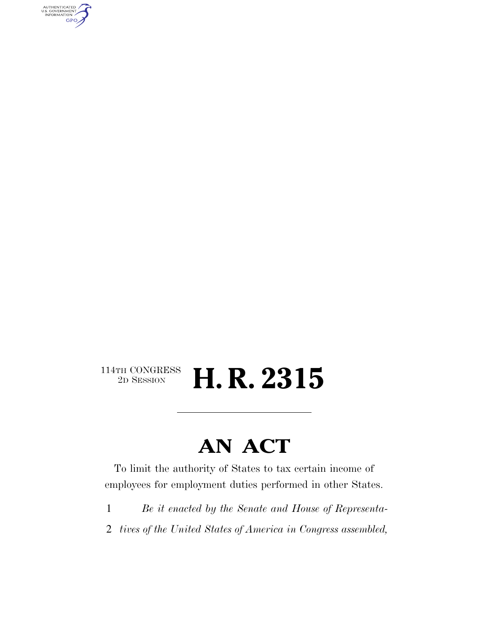AUTHENTICATED<br>U.S. GOVERNMENT<br>INFORMATION GPO

#### $\begin{array}{c} \textbf{114TH CONGRESS} \\ \textbf{2D} \textbf{SESSION} \end{array}$ 2D SESSION **H. R. 2315**

### **AN ACT**

To limit the authority of States to tax certain income of employees for employment duties performed in other States.

- 1 *Be it enacted by the Senate and House of Representa-*
- 2 *tives of the United States of America in Congress assembled,*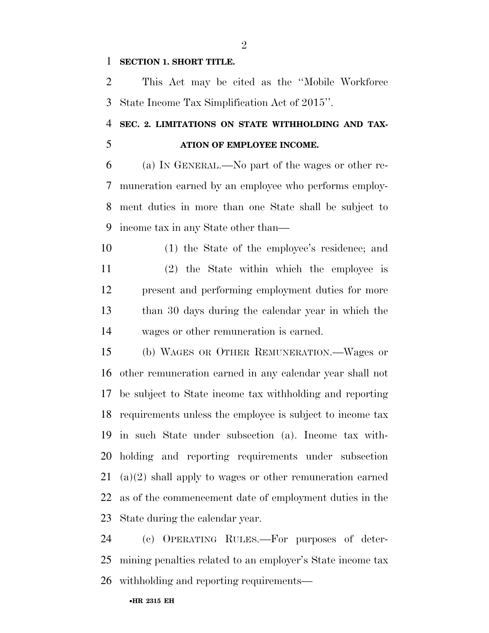#### **SECTION 1. SHORT TITLE.**

 This Act may be cited as the ''Mobile Workforce State Income Tax Simplification Act of 2015''.

### **SEC. 2. LIMITATIONS ON STATE WITHHOLDING AND TAX-ATION OF EMPLOYEE INCOME.**

 (a) IN GENERAL.—No part of the wages or other re- muneration earned by an employee who performs employ- ment duties in more than one State shall be subject to income tax in any State other than—

 (1) the State of the employee's residence; and (2) the State within which the employee is present and performing employment duties for more than 30 days during the calendar year in which the wages or other remuneration is earned.

 (b) WAGES OR OTHER REMUNERATION.—Wages or other remuneration earned in any calendar year shall not be subject to State income tax withholding and reporting requirements unless the employee is subject to income tax in such State under subsection (a). Income tax with- holding and reporting requirements under subsection (a)(2) shall apply to wages or other remuneration earned as of the commencement date of employment duties in the State during the calendar year.

 (c) OPERATING RULES.—For purposes of deter- mining penalties related to an employer's State income tax withholding and reporting requirements—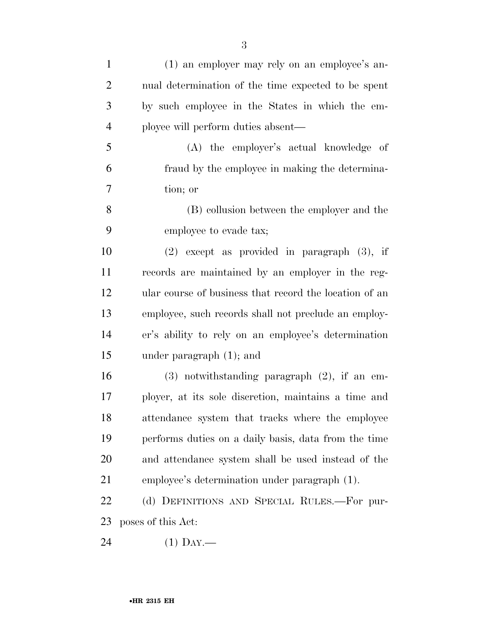| $\mathbf{1}$   | (1) an employer may rely on an employee's an-          |
|----------------|--------------------------------------------------------|
| $\overline{2}$ | nual determination of the time expected to be spent    |
| 3              | by such employee in the States in which the em-        |
| $\overline{4}$ | ployee will perform duties absent—                     |
| 5              | (A) the employer's actual knowledge of                 |
| 6              | fraud by the employee in making the determina-         |
| 7              | tion; or                                               |
| 8              | (B) collusion between the employer and the             |
| 9              | employee to evade tax;                                 |
| 10             | $(2)$ except as provided in paragraph $(3)$ , if       |
| 11             | records are maintained by an employer in the reg-      |
| 12             | ular course of business that record the location of an |
| 13             | employee, such records shall not preclude an employ-   |
| 14             | er's ability to rely on an employee's determination    |
| 15             | under paragraph $(1)$ ; and                            |
| 16             | $(3)$ notwithstanding paragraph $(2)$ , if an em-      |
| 17             | ployer, at its sole discretion, maintains a time and   |
| 18             | attendance system that tracks where the employee       |
| 19             | performs duties on a daily basis, data from the time   |
| 20             | and attendance system shall be used instead of the     |
| 21             | employee's determination under paragraph (1).          |
| 22             | (d) DEFINITIONS AND SPECIAL RULES.—For pur-            |
| 23             | poses of this Act:                                     |
| 24             | $(1)$ Day.—                                            |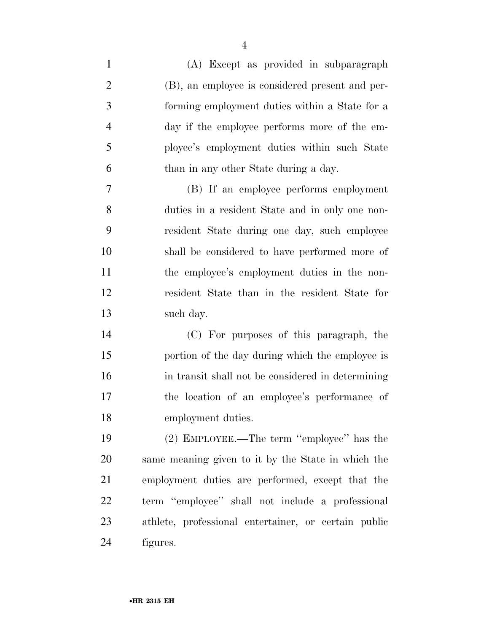(A) Except as provided in subparagraph (B), an employee is considered present and per- forming employment duties within a State for a day if the employee performs more of the em- ployee's employment duties within such State than in any other State during a day. (B) If an employee performs employment duties in a resident State and in only one non- resident State during one day, such employee shall be considered to have performed more of

11 the employee's employment duties in the non- resident State than in the resident State for such day.

 (C) For purposes of this paragraph, the portion of the day during which the employee is in transit shall not be considered in determining the location of an employee's performance of employment duties.

 (2) EMPLOYEE.—The term ''employee'' has the same meaning given to it by the State in which the employment duties are performed, except that the term ''employee'' shall not include a professional athlete, professional entertainer, or certain public figures.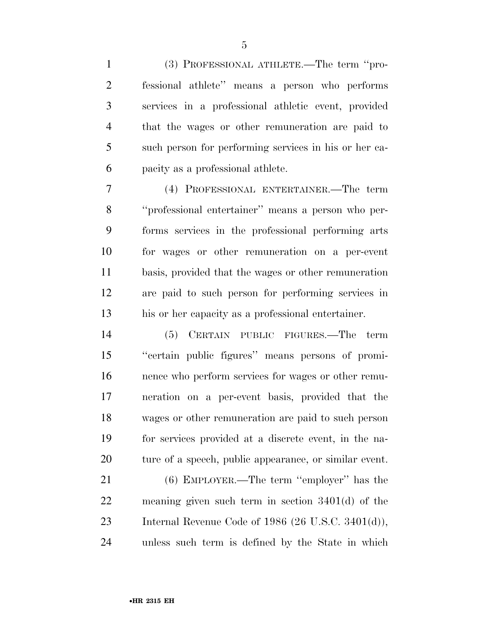(3) PROFESSIONAL ATHLETE.—The term ''pro- fessional athlete'' means a person who performs services in a professional athletic event, provided that the wages or other remuneration are paid to such person for performing services in his or her ca-pacity as a professional athlete.

 (4) PROFESSIONAL ENTERTAINER.—The term ''professional entertainer'' means a person who per- forms services in the professional performing arts for wages or other remuneration on a per-event basis, provided that the wages or other remuneration are paid to such person for performing services in his or her capacity as a professional entertainer.

 (5) CERTAIN PUBLIC FIGURES.—The term ''certain public figures'' means persons of promi- nence who perform services for wages or other remu- neration on a per-event basis, provided that the wages or other remuneration are paid to such person for services provided at a discrete event, in the na-ture of a speech, public appearance, or similar event.

 (6) EMPLOYER.—The term ''employer'' has the meaning given such term in section 3401(d) of the Internal Revenue Code of 1986 (26 U.S.C. 3401(d)), unless such term is defined by the State in which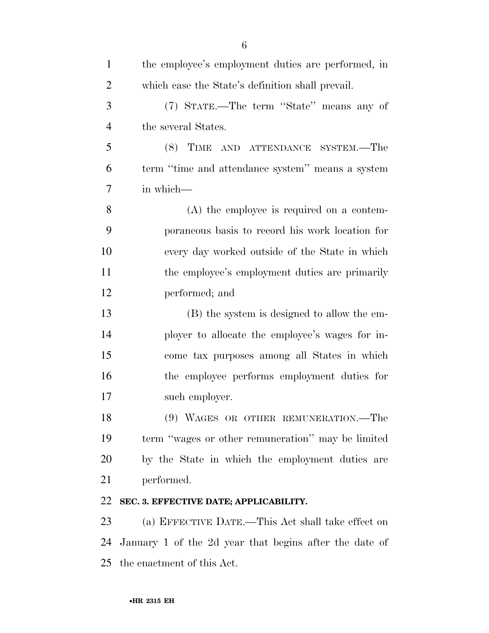| $\mathbf{1}$   | the employee's employment duties are performed, in     |
|----------------|--------------------------------------------------------|
| $\overline{2}$ | which case the State's definition shall prevail.       |
| 3              | (7) STATE.—The term "State" means any of               |
| $\overline{4}$ | the several States.                                    |
| 5              | (8) TIME AND ATTENDANCE SYSTEM.—The                    |
| 6              | term "time and attendance system" means a system       |
| 7              | in which-                                              |
| 8              | $(A)$ the employee is required on a contem-            |
| 9              | poraneous basis to record his work location for        |
| 10             | every day worked outside of the State in which         |
| 11             | the employee's employment duties are primarily         |
| 12             | performed; and                                         |
| 13             | (B) the system is designed to allow the em-            |
| 14             | ployer to allocate the employee's wages for in-        |
| 15             | come tax purposes among all States in which            |
| 16             | the employee performs employment duties for            |
| 17             | such employer.                                         |
| 18             | (9) WAGES OR OTHER REMUNERATION.—The                   |
| 19             | term "wages or other remuneration" may be limited      |
| 20             | by the State in which the employment duties are        |
| 21             | performed.                                             |
| 22             | SEC. 3. EFFECTIVE DATE; APPLICABILITY.                 |
| 23             | (a) EFFECTIVE DATE.—This Act shall take effect on      |
| 24             | January 1 of the 2d year that begins after the date of |
| 25             | the enactment of this Act.                             |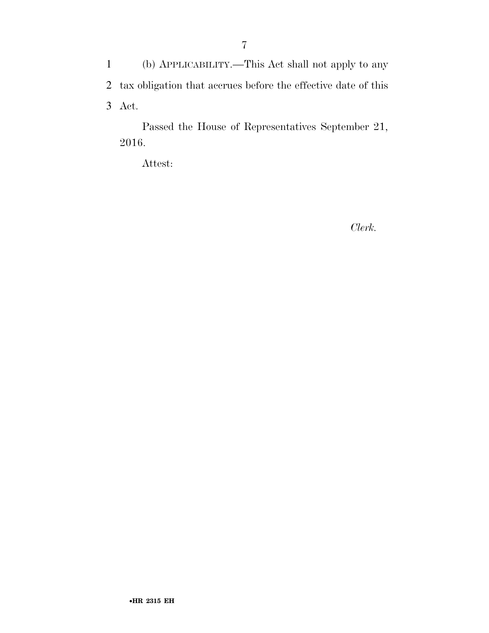1 (b) APPLICABILITY.—This Act shall not apply to any 2 tax obligation that accrues before the effective date of this 3 Act.

Passed the House of Representatives September 21, 2016.

Attest:

*Clerk.*